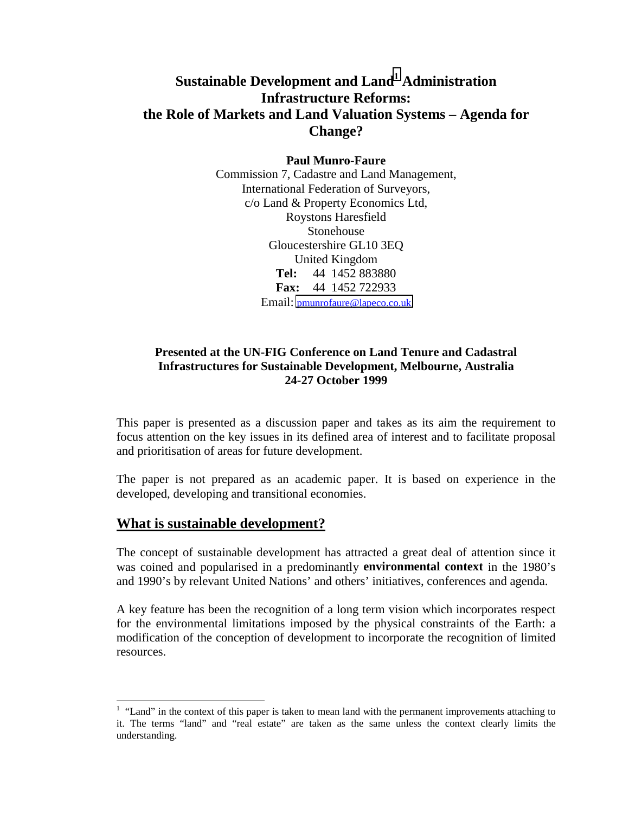# **Sustainable Development and Land1 Administration Infrastructure Reforms: the Role of Markets and Land Valuation Systems – Agenda for Change?**

**Paul Munro-Faure**

Commission 7, Cadastre and Land Management, International Federation of Surveyors, c/o Land & Property Economics Ltd, Roystons Haresfield Stonehouse Gloucestershire GL10 3EQ United Kingdom **Tel:** 44 1452 883880 **Fax:** 44 1452 722933 Email: [pmunrofaure@lapeco.co.uk](mailto:pmunrofaure@lapeco.co.uk)

#### **Presented at the UN-FIG Conference on Land Tenure and Cadastral Infrastructures for Sustainable Development, Melbourne, Australia 24-27 October 1999**

This paper is presented as a discussion paper and takes as its aim the requirement to focus attention on the key issues in its defined area of interest and to facilitate proposal and prioritisation of areas for future development.

The paper is not prepared as an academic paper. It is based on experience in the developed, developing and transitional economies.

### **What is sustainable development?**

l

The concept of sustainable development has attracted a great deal of attention since it was coined and popularised in a predominantly **environmental context** in the 1980's and 1990's by relevant United Nations' and others' initiatives, conferences and agenda.

A key feature has been the recognition of a long term vision which incorporates respect for the environmental limitations imposed by the physical constraints of the Earth: a modification of the conception of development to incorporate the recognition of limited resources.

 $<sup>1</sup>$  "Land" in the context of this paper is taken to mean land with the permanent improvements attaching to</sup> it. The terms "land" and "real estate" are taken as the same unless the context clearly limits the understanding.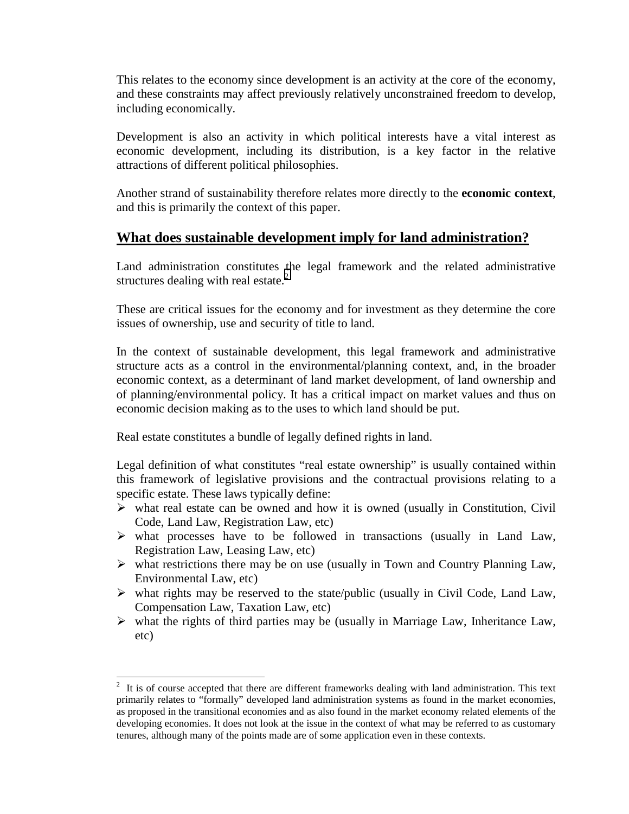This relates to the economy since development is an activity at the core of the economy, and these constraints may affect previously relatively unconstrained freedom to develop, including economically.

Development is also an activity in which political interests have a vital interest as economic development, including its distribution, is a key factor in the relative attractions of different political philosophies.

Another strand of sustainability therefore relates more directly to the **economic context**, and this is primarily the context of this paper.

## **What does sustainable development imply for land administration?**

Land administration constitutes the legal framework and the related administrative structures dealing with real estate. $2$ 

These are critical issues for the economy and for investment as they determine the core issues of ownership, use and security of title to land.

In the context of sustainable development, this legal framework and administrative structure acts as a control in the environmental/planning context, and, in the broader economic context, as a determinant of land market development, of land ownership and of planning/environmental policy. It has a critical impact on market values and thus on economic decision making as to the uses to which land should be put.

Real estate constitutes a bundle of legally defined rights in land.

l

Legal definition of what constitutes "real estate ownership" is usually contained within this framework of legislative provisions and the contractual provisions relating to a specific estate. These laws typically define:

- $\triangleright$  what real estate can be owned and how it is owned (usually in Constitution, Civil Code, Land Law, Registration Law, etc)
- $\triangleright$  what processes have to be followed in transactions (usually in Land Law, Registration Law, Leasing Law, etc)
- $\triangleright$  what restrictions there may be on use (usually in Town and Country Planning Law, Environmental Law, etc)
- $\triangleright$  what rights may be reserved to the state/public (usually in Civil Code, Land Law, Compensation Law, Taxation Law, etc)
- $\triangleright$  what the rights of third parties may be (usually in Marriage Law, Inheritance Law, etc)

 $2\,$  It is of course accepted that there are different frameworks dealing with land administration. This text primarily relates to "formally" developed land administration systems as found in the market economies, as proposed in the transitional economies and as also found in the market economy related elements of the developing economies. It does not look at the issue in the context of what may be referred to as customary tenures, although many of the points made are of some application even in these contexts.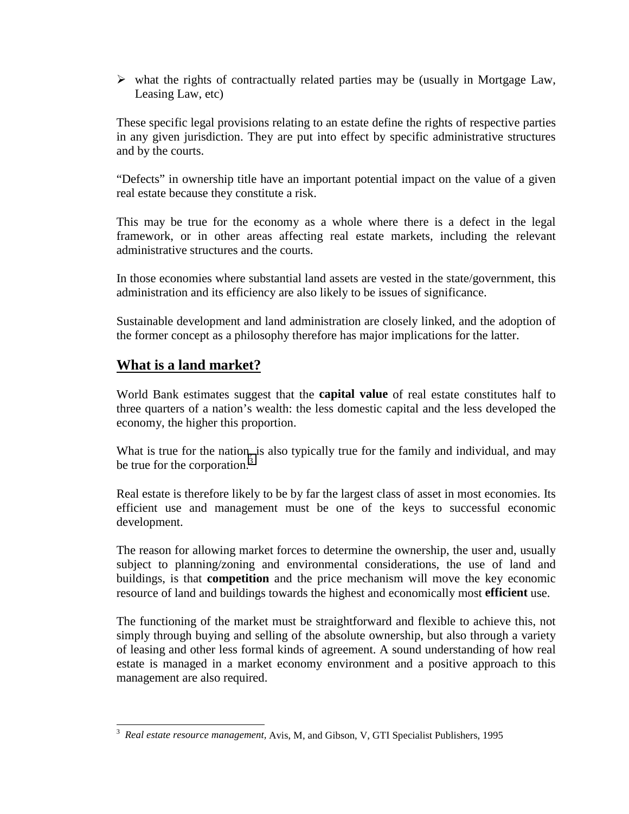$\triangleright$  what the rights of contractually related parties may be (usually in Mortgage Law, Leasing Law, etc)

These specific legal provisions relating to an estate define the rights of respective parties in any given jurisdiction. They are put into effect by specific administrative structures and by the courts.

"Defects" in ownership title have an important potential impact on the value of a given real estate because they constitute a risk.

This may be true for the economy as a whole where there is a defect in the legal framework, or in other areas affecting real estate markets, including the relevant administrative structures and the courts.

In those economies where substantial land assets are vested in the state/government, this administration and its efficiency are also likely to be issues of significance.

Sustainable development and land administration are closely linked, and the adoption of the former concept as a philosophy therefore has major implications for the latter.

## **What is a land market?**

World Bank estimates suggest that the **capital value** of real estate constitutes half to three quarters of a nation's wealth: the less domestic capital and the less developed the economy, the higher this proportion.

What is true for the nation, is also typically true for the family and individual, and may be true for the corporation.<sup>3</sup>

Real estate is therefore likely to be by far the largest class of asset in most economies. Its efficient use and management must be one of the keys to successful economic development.

The reason for allowing market forces to determine the ownership, the user and, usually subject to planning/zoning and environmental considerations, the use of land and buildings, is that **competition** and the price mechanism will move the key economic resource of land and buildings towards the highest and economically most **efficient** use.

The functioning of the market must be straightforward and flexible to achieve this, not simply through buying and selling of the absolute ownership, but also through a variety of leasing and other less formal kinds of agreement. A sound understanding of how real estate is managed in a market economy environment and a positive approach to this management are also required.

 3 *Real estate resource management,* Avis, M, and Gibson, V, GTI Specialist Publishers, 1995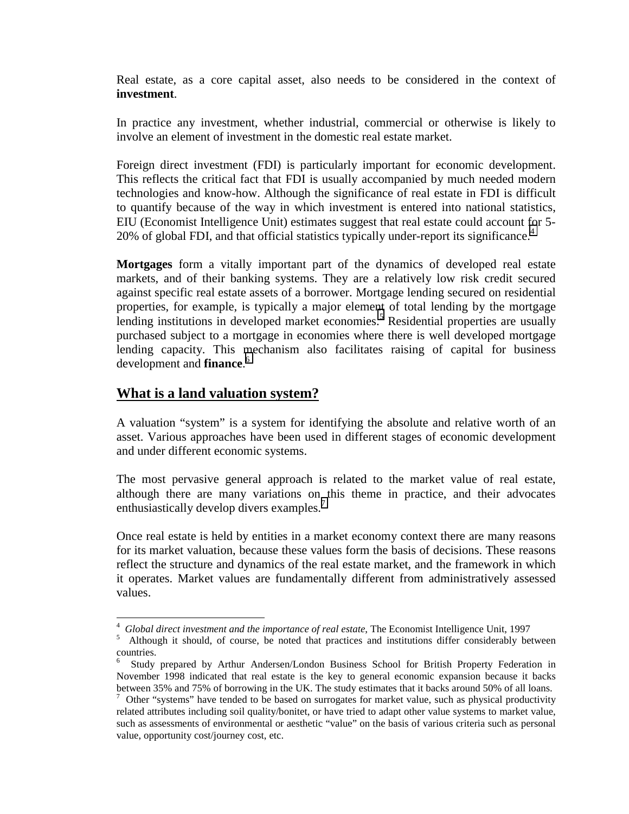Real estate, as a core capital asset, also needs to be considered in the context of **investment**.

In practice any investment, whether industrial, commercial or otherwise is likely to involve an element of investment in the domestic real estate market.

Foreign direct investment (FDI) is particularly important for economic development. This reflects the critical fact that FDI is usually accompanied by much needed modern technologies and know-how. Although the significance of real estate in FDI is difficult to quantify because of the way in which investment is entered into national statistics, EIU (Economist Intelligence Unit) estimates suggest that real estate could account for 5- 20% of global FDI, and that official statistics typically under-report its significance.<sup>4</sup>

**Mortgages** form a vitally important part of the dynamics of developed real estate markets, and of their banking systems. They are a relatively low risk credit secured against specific real estate assets of a borrower. Mortgage lending secured on residential properties, for example, is typically a major element of total lending by the mortgage lending institutions in developed market economies.<sup>5</sup> Residential properties are usually purchased subject to a mortgage in economies where there is well developed mortgage lending capacity. This mechanism also facilitates raising of capital for business development and **finance**. 6

### **What is a land valuation system?**

A valuation "system" is a system for identifying the absolute and relative worth of an asset. Various approaches have been used in different stages of economic development and under different economic systems.

The most pervasive general approach is related to the market value of real estate, although there are many variations on this theme in practice, and their advocates enthusiastically develop divers examples.<sup>7</sup>

Once real estate is held by entities in a market economy context there are many reasons for its market valuation, because these values form the basis of decisions. These reasons reflect the structure and dynamics of the real estate market, and the framework in which it operates. Market values are fundamentally different from administratively assessed values.

l 4 *Global direct investment and the importance of real estate*, The Economist Intelligence Unit, 1997

Although it should, of course, be noted that practices and institutions differ considerably between countries.

<sup>6</sup> Study prepared by Arthur Andersen/London Business School for British Property Federation in November 1998 indicated that real estate is the key to general economic expansion because it backs between 35% and 75% of borrowing in the UK. The study estimates that it backs around 50% of all loans.

<sup>7</sup> Other "systems" have tended to be based on surrogates for market value, such as physical productivity related attributes including soil quality/bonitet, or have tried to adapt other value systems to market value, such as assessments of environmental or aesthetic "value" on the basis of various criteria such as personal value, opportunity cost/journey cost, etc.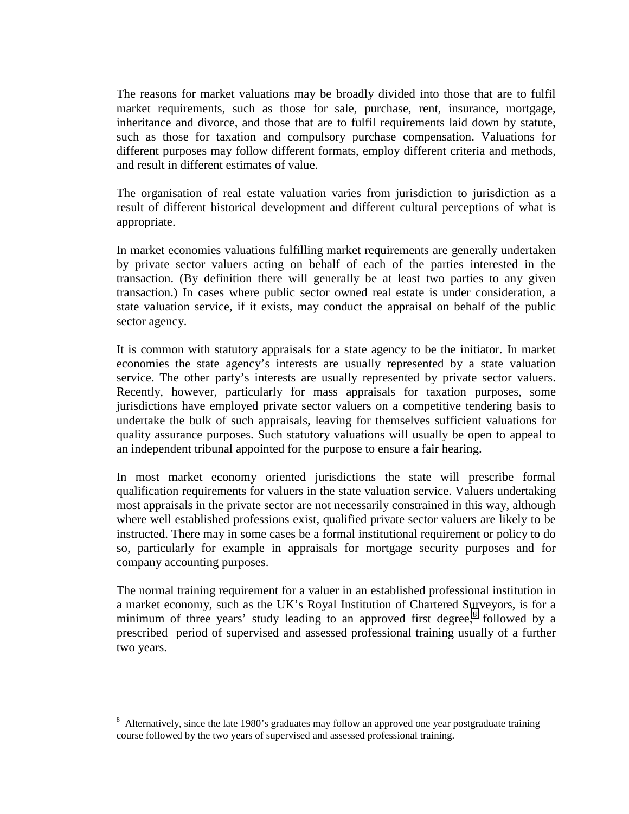The reasons for market valuations may be broadly divided into those that are to fulfil market requirements, such as those for sale, purchase, rent, insurance, mortgage, inheritance and divorce, and those that are to fulfil requirements laid down by statute, such as those for taxation and compulsory purchase compensation. Valuations for different purposes may follow different formats, employ different criteria and methods, and result in different estimates of value.

The organisation of real estate valuation varies from jurisdiction to jurisdiction as a result of different historical development and different cultural perceptions of what is appropriate.

In market economies valuations fulfilling market requirements are generally undertaken by private sector valuers acting on behalf of each of the parties interested in the transaction. (By definition there will generally be at least two parties to any given transaction.) In cases where public sector owned real estate is under consideration, a state valuation service, if it exists, may conduct the appraisal on behalf of the public sector agency.

It is common with statutory appraisals for a state agency to be the initiator. In market economies the state agency's interests are usually represented by a state valuation service. The other party's interests are usually represented by private sector valuers. Recently, however, particularly for mass appraisals for taxation purposes, some jurisdictions have employed private sector valuers on a competitive tendering basis to undertake the bulk of such appraisals, leaving for themselves sufficient valuations for quality assurance purposes. Such statutory valuations will usually be open to appeal to an independent tribunal appointed for the purpose to ensure a fair hearing.

In most market economy oriented jurisdictions the state will prescribe formal qualification requirements for valuers in the state valuation service. Valuers undertaking most appraisals in the private sector are not necessarily constrained in this way, although where well established professions exist, qualified private sector valuers are likely to be instructed. There may in some cases be a formal institutional requirement or policy to do so, particularly for example in appraisals for mortgage security purposes and for company accounting purposes.

The normal training requirement for a valuer in an established professional institution in a market economy, such as the UK's Royal Institution of Chartered Surveyors, is for a minimum of three years' study leading to an approved first degree, $8$  followed by a prescribed period of supervised and assessed professional training usually of a further two years.

l

<sup>8</sup> Alternatively, since the late 1980's graduates may follow an approved one year postgraduate training course followed by the two years of supervised and assessed professional training.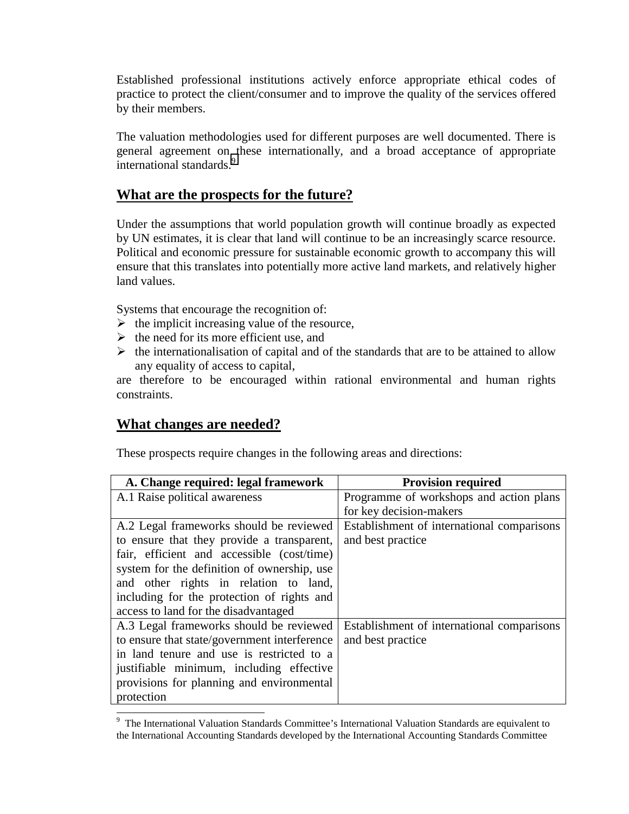Established professional institutions actively enforce appropriate ethical codes of practice to protect the client/consumer and to improve the quality of the services offered by their members.

The valuation methodologies used for different purposes are well documented. There is general agreement on these internationally, and a broad acceptance of appropriate international standards.<sup>9</sup>

### **What are the prospects for the future?**

Under the assumptions that world population growth will continue broadly as expected by UN estimates, it is clear that land will continue to be an increasingly scarce resource. Political and economic pressure for sustainable economic growth to accompany this will ensure that this translates into potentially more active land markets, and relatively higher land values.

Systems that encourage the recognition of:

- $\triangleright$  the implicit increasing value of the resource,
- $\triangleright$  the need for its more efficient use, and
- $\triangleright$  the internationalisation of capital and of the standards that are to be attained to allow any equality of access to capital,

are therefore to be encouraged within rational environmental and human rights constraints.

### **What changes are needed?**

l

These prospects require changes in the following areas and directions:

| A. Change required: legal framework          | <b>Provision required</b>                  |
|----------------------------------------------|--------------------------------------------|
| A.1 Raise political awareness                | Programme of workshops and action plans    |
|                                              | for key decision-makers                    |
| A.2 Legal frameworks should be reviewed      | Establishment of international comparisons |
| to ensure that they provide a transparent,   | and best practice                          |
| fair, efficient and accessible (cost/time)   |                                            |
| system for the definition of ownership, use  |                                            |
| and other rights in relation to land,        |                                            |
| including for the protection of rights and   |                                            |
| access to land for the disadvantaged         |                                            |
| A.3 Legal frameworks should be reviewed      | Establishment of international comparisons |
| to ensure that state/government interference | and best practice                          |
| in land tenure and use is restricted to a    |                                            |
| justifiable minimum, including effective     |                                            |
| provisions for planning and environmental    |                                            |
| protection                                   |                                            |

<sup>9</sup> The International Valuation Standards Committee's International Valuation Standards are equivalent to the International Accounting Standards developed by the International Accounting Standards Committee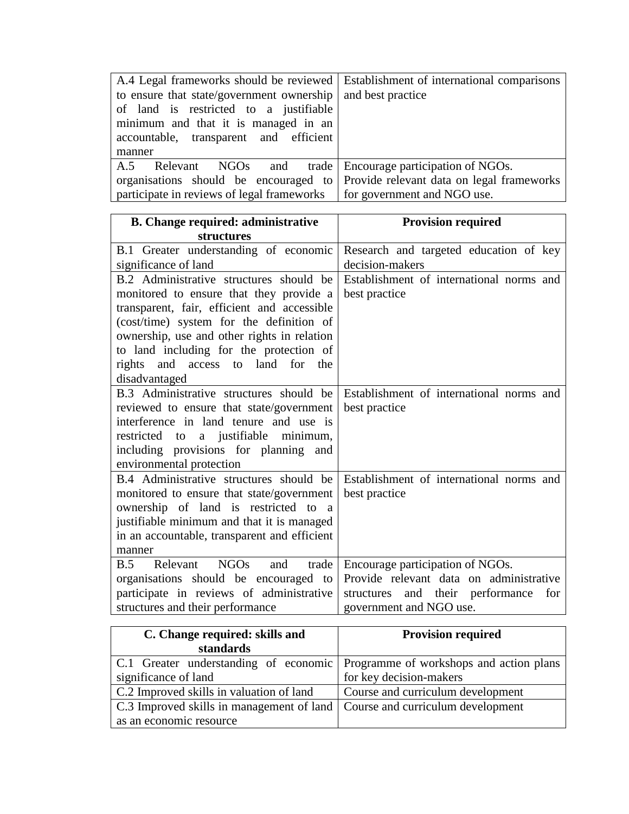| to ensure that state/government ownership<br>of land is restricted to a justifiable<br>minimum and that it is managed in an<br>accountable, transparent and efficient<br>manner | A.4 Legal frameworks should be reviewed   Establishment of international comparisons<br>and best practice    |
|---------------------------------------------------------------------------------------------------------------------------------------------------------------------------------|--------------------------------------------------------------------------------------------------------------|
| Relevant NGOs<br>and trade<br>A.5<br>organisations should be encouraged to<br>participate in reviews of legal frameworks                                                        | Encourage participation of NGOs.<br>Provide relevant data on legal frameworks<br>for government and NGO use. |

| <b>B.</b> Change required: administrative      | <b>Provision required</b>                  |
|------------------------------------------------|--------------------------------------------|
| <b>structures</b>                              |                                            |
| B.1 Greater understanding of economic          | Research and targeted education of key     |
| significance of land                           | decision-makers                            |
| B.2 Administrative structures should be        | Establishment of international norms and   |
| monitored to ensure that they provide a        | best practice                              |
| transparent, fair, efficient and accessible    |                                            |
| (cost/time) system for the definition of       |                                            |
| ownership, use and other rights in relation    |                                            |
| to land including for the protection of        |                                            |
| access to land for<br>rights<br>and<br>the     |                                            |
| disadvantaged                                  |                                            |
| B.3 Administrative structures should be        | Establishment of international norms and   |
| reviewed to ensure that state/government       | best practice                              |
| interference in land tenure and use is         |                                            |
| a justifiable minimum,<br>restricted to        |                                            |
| including provisions for planning and          |                                            |
| environmental protection                       |                                            |
| B.4 Administrative structures should be        | Establishment of international norms and   |
| monitored to ensure that state/government      | best practice                              |
| ownership of land is restricted to a           |                                            |
| justifiable minimum and that it is managed     |                                            |
| in an accountable, transparent and efficient   |                                            |
| manner                                         |                                            |
| NGOs<br>Relevant<br>trade<br><b>B.5</b><br>and | Encourage participation of NGOs.           |
| organisations should be encouraged to          | Provide relevant data on administrative    |
| participate in reviews of administrative       | and their performance<br>for<br>structures |
| structures and their performance               | government and NGO use.                    |

| C. Change required: skills and                                                | <b>Provision required</b>         |
|-------------------------------------------------------------------------------|-----------------------------------|
| standards                                                                     |                                   |
| C.1 Greater understanding of economic Programme of workshops and action plans |                                   |
| significance of land                                                          | for key decision-makers           |
| C.2 Improved skills in valuation of land                                      | Course and curriculum development |
| C.3 Improved skills in management of land   Course and curriculum development |                                   |
| as an economic resource                                                       |                                   |